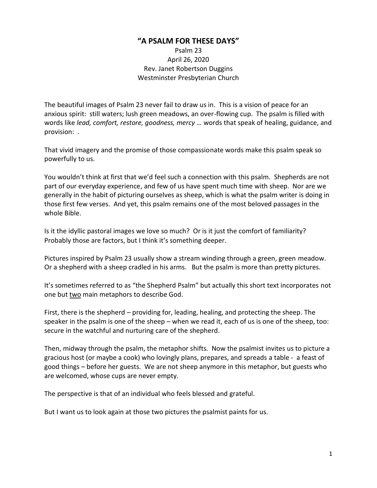## **"A PSALM FOR THESE DAYS"**

Psalm 23 April 26, 2020 Rev. Janet Robertson Duggins Westminster Presbyterian Church

The beautiful images of Psalm 23 never fail to draw us in. This is a vision of peace for an anxious spirit: still waters; lush green meadows, an over-flowing cup. The psalm is filled with words like *lead, comfort, restore, goodness, mercy …* words that speak of healing, guidance, and provision: *.*

That vivid imagery and the promise of those compassionate words make this psalm speak so powerfully to us.

You wouldn't think at first that we'd feel such a connection with this psalm. Shepherds are not part of our everyday experience, and few of us have spent much time with sheep. Nor are we generally in the habit of picturing ourselves as sheep, which is what the psalm writer is doing in those first few verses. And yet, this psalm remains one of the most beloved passages in the whole Bible.

Is it the idyllic pastoral images we love so much? Or is it just the comfort of familiarity? Probably those are factors, but I think it's something deeper.

Pictures inspired by Psalm 23 usually show a stream winding through a green, green meadow. Or a shepherd with a sheep cradled in his arms. But the psalm is more than pretty pictures.

It's sometimes referred to as "the Shepherd Psalm" but actually this short text incorporates not one but two main metaphors to describe God.

First, there is the shepherd – providing for, leading, healing, and protecting the sheep. The speaker in the psalm is one of the sheep – when we read it, each of us is one of the sheep, too: secure in the watchful and nurturing care of the shepherd.

Then, midway through the psalm, the metaphor shifts. Now the psalmist invites us to picture a gracious host (or maybe a cook) who lovingly plans, prepares, and spreads a table - a feast of good things – before her guests. We are not sheep anymore in this metaphor, but guests who are welcomed, whose cups are never empty.

The perspective is that of an individual who feels blessed and grateful.

But I want us to look again at those two pictures the psalmist paints for us.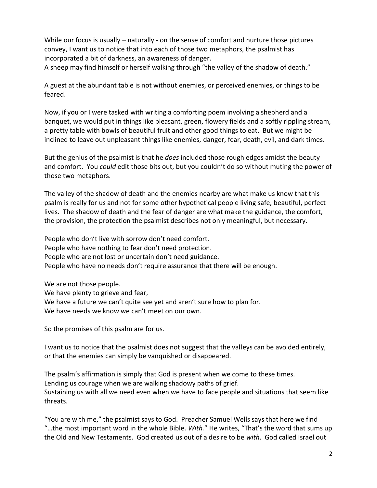While our focus is usually – naturally - on the sense of comfort and nurture those pictures convey, I want us to notice that into each of those two metaphors, the psalmist has incorporated a bit of darkness, an awareness of danger.

A sheep may find himself or herself walking through "the valley of the shadow of death."

A guest at the abundant table is not without enemies, or perceived enemies, or things to be feared.

Now, if you or I were tasked with writing a comforting poem involving a shepherd and a banquet, we would put in things like pleasant, green, flowery fields and a softly rippling stream, a pretty table with bowls of beautiful fruit and other good things to eat. But we might be inclined to leave out unpleasant things like enemies, danger, fear, death, evil, and dark times.

But the genius of the psalmist is that he *does* included those rough edges amidst the beauty and comfort. You *could* edit those bits out, but you couldn't do so without muting the power of those two metaphors.

The valley of the shadow of death and the enemies nearby are what make us know that this psalm is really for us and not for some other hypothetical people living safe, beautiful, perfect lives. The shadow of death and the fear of danger are what make the guidance, the comfort, the provision, the protection the psalmist describes not only meaningful, but necessary.

People who don't live with sorrow don't need comfort. People who have nothing to fear don't need protection. People who are not lost or uncertain don't need guidance. People who have no needs don't require assurance that there will be enough.

We are not those people.

We have plenty to grieve and fear,

We have a future we can't quite see yet and aren't sure how to plan for.

We have needs we know we can't meet on our own.

So the promises of this psalm are for us.

I want us to notice that the psalmist does not suggest that the valleys can be avoided entirely, or that the enemies can simply be vanquished or disappeared.

The psalm's affirmation is simply that God is present when we come to these times. Lending us courage when we are walking shadowy paths of grief. Sustaining us with all we need even when we have to face people and situations that seem like threats.

"You are with me," the psalmist says to God. Preacher Samuel Wells says that here we find "…the most important word in the whole Bible. *With.*" He writes, "That's the word that sums up the Old and New Testaments. God created us out of a desire to be *with*. God called Israel out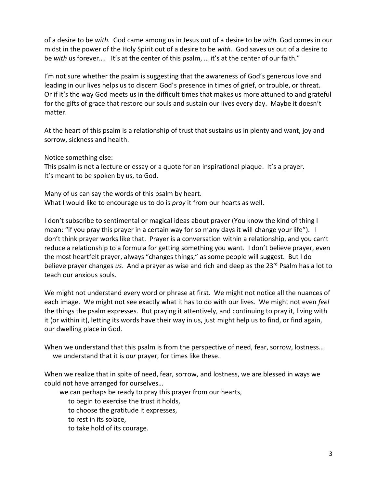of a desire to be *with.* God came among us in Jesus out of a desire to be *with.* God comes in our midst in the power of the Holy Spirit out of a desire to be *with.* God saves us out of a desire to be *with* us forever.... It's at the center of this psalm, ... it's at the center of our faith."

I'm not sure whether the psalm is suggesting that the awareness of God's generous love and leading in our lives helps us to discern God's presence in times of grief, or trouble, or threat. Or if it's the way God meets us in the difficult times that makes us more attuned to and grateful for the gifts of grace that restore our souls and sustain our lives every day. Maybe it doesn't matter.

At the heart of this psalm is a relationship of trust that sustains us in plenty and want, joy and sorrow, sickness and health.

Notice something else:

This psalm is not a lecture or essay or a quote for an inspirational plaque. It's a prayer. It's meant to be spoken by us, to God.

Many of us can say the words of this psalm by heart. What I would like to encourage us to do is *pray* it from our hearts as well.

I don't subscribe to sentimental or magical ideas about prayer (You know the kind of thing I mean: "if you pray this prayer in a certain way for so many days it will change your life"). I don't think prayer works like that. Prayer is a conversation within a relationship, and you can't reduce a relationship to a formula for getting something you want. I don't believe prayer, even the most heartfelt prayer, always "changes things," as some people will suggest. But I do believe prayer changes *us*. And a prayer as wise and rich and deep as the 23rd Psalm has a lot to teach our anxious souls.

We might not understand every word or phrase at first. We might not notice all the nuances of each image. We might not see exactly what it has to do with our lives. We might not even *feel* the things the psalm expresses. But praying it attentively, and continuing to pray it, living with it (or within it), letting its words have their way in us, just might help us to find, or find again, our dwelling place in God.

When we understand that this psalm is from the perspective of need, fear, sorrow, lostness… we understand that it is *our* prayer, for times like these.

When we realize that in spite of need, fear, sorrow, and lostness, we are blessed in ways we could not have arranged for ourselves…

we can perhaps be ready to pray this prayer from our hearts,

to begin to exercise the trust it holds,

to choose the gratitude it expresses,

to rest in its solace,

to take hold of its courage.